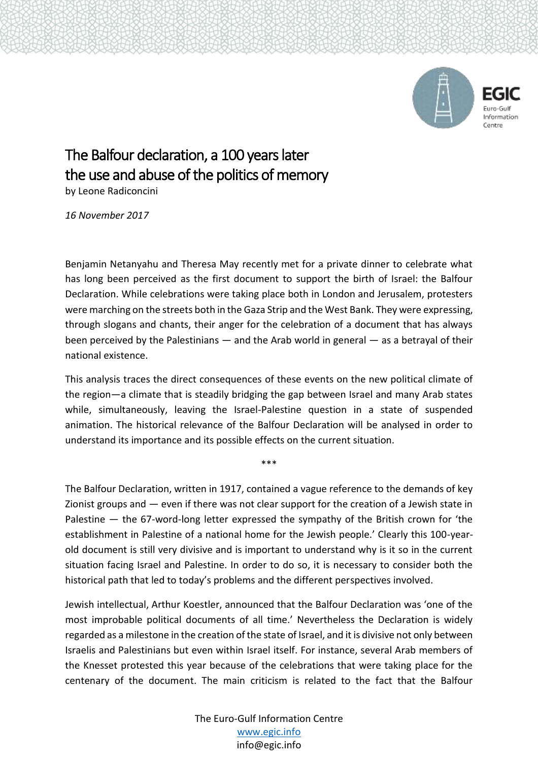



## The Balfour declaration, a 100 years later the use and abuse of the politics of memory

by Leone Radiconcini

*16 November 2017*

Benjamin Netanyahu and Theresa May recently met for a private dinner to celebrate what has long been perceived as the first document to support the birth of Israel: the Balfour Declaration. While celebrations were taking place both in London and Jerusalem, protesters were marching on the streets both in the Gaza Strip and the West Bank. They were expressing, through slogans and chants, their anger for the celebration of a document that has always been perceived by the Palestinians — and the Arab world in general — as a betrayal of their national existence.

This analysis traces the direct consequences of these events on the new political climate of the region—a climate that is steadily bridging the gap between Israel and many Arab states while, simultaneously, leaving the Israel-Palestine question in a state of suspended animation. The historical relevance of the Balfour Declaration will be analysed in order to understand its importance and its possible effects on the current situation.

\*\*\*

The Balfour Declaration, written in 1917, contained a vague reference to the demands of key Zionist groups and — even if there was not clear support for the creation of a Jewish state in Palestine — the 67-word-long letter expressed the sympathy of the British crown for 'the establishment in Palestine of a national home for the Jewish people.' Clearly this 100-yearold document is still very divisive and is important to understand why is it so in the current situation facing Israel and Palestine. In order to do so, it is necessary to consider both the historical path that led to today's problems and the different perspectives involved.

Jewish intellectual, Arthur Koestler, announced that the Balfour Declaration was 'one of the most improbable political documents of all time.' Nevertheless the Declaration is widely regarded as a milestone in the creation of the state of Israel, and it is divisive not only between Israelis and Palestinians but even within Israel itself. For instance, several Arab members of the Knesset protested this year because of the celebrations that were taking place for the centenary of the document. The main criticism is related to the fact that the Balfour

> The Euro-Gulf Information Centre [www.egic.info](http://www.egic.info/) info@egic.info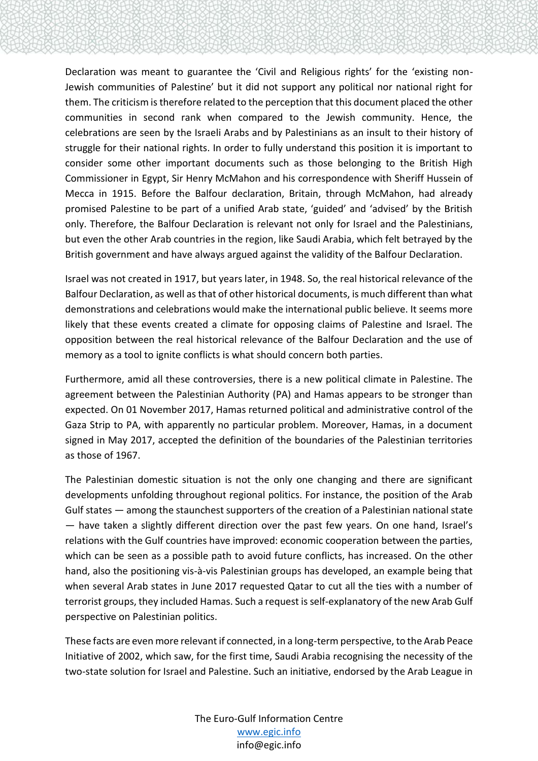Declaration was meant to guarantee the 'Civil and Religious rights' for the 'existing non-Jewish communities of Palestine' but it did not support any political nor national right for them. The criticism is therefore related to the perception that this document placed the other communities in second rank when compared to the Jewish community. Hence, the celebrations are seen by the Israeli Arabs and by Palestinians as an insult to their history of struggle for their national rights. In order to fully understand this position it is important to consider some other important documents such as those belonging to the British High Commissioner in Egypt, Sir Henry McMahon and his correspondence with Sheriff Hussein of Mecca in 1915. Before the Balfour declaration, Britain, through McMahon, had already promised Palestine to be part of a unified Arab state, 'guided' and 'advised' by the British only. Therefore, the Balfour Declaration is relevant not only for Israel and the Palestinians, but even the other Arab countries in the region, like Saudi Arabia, which felt betrayed by the British government and have always argued against the validity of the Balfour Declaration.

Israel was not created in 1917, but years later, in 1948. So, the real historical relevance of the Balfour Declaration, as well as that of other historical documents, is much different than what demonstrations and celebrations would make the international public believe. It seems more likely that these events created a climate for opposing claims of Palestine and Israel. The opposition between the real historical relevance of the Balfour Declaration and the use of memory as a tool to ignite conflicts is what should concern both parties.

Furthermore, amid all these controversies, there is a new political climate in Palestine. The agreement between the Palestinian Authority (PA) and Hamas appears to be stronger than expected. On 01 November 2017, Hamas returned political and administrative control of the Gaza Strip to PA, with apparently no particular problem. Moreover, Hamas, in a document signed in May 2017, accepted the definition of the boundaries of the Palestinian territories as those of 1967.

The Palestinian domestic situation is not the only one changing and there are significant developments unfolding throughout regional politics. For instance, the position of the Arab Gulf states — among the staunchest supporters of the creation of a Palestinian national state — have taken a slightly different direction over the past few years. On one hand, Israel's relations with the Gulf countries have improved: economic cooperation between the parties, which can be seen as a possible path to avoid future conflicts, has increased. On the other hand, also the positioning vis-à-vis Palestinian groups has developed, an example being that when several Arab states in June 2017 requested Qatar to cut all the ties with a number of terrorist groups, they included Hamas. Such a request is self-explanatory of the new Arab Gulf perspective on Palestinian politics.

These facts are even more relevant if connected, in a long-term perspective, to the Arab Peace Initiative of 2002, which saw, for the first time, Saudi Arabia recognising the necessity of the two-state solution for Israel and Palestine. Such an initiative, endorsed by the Arab League in

> The Euro-Gulf Information Centre [www.egic.info](http://www.egic.info/) info@egic.info